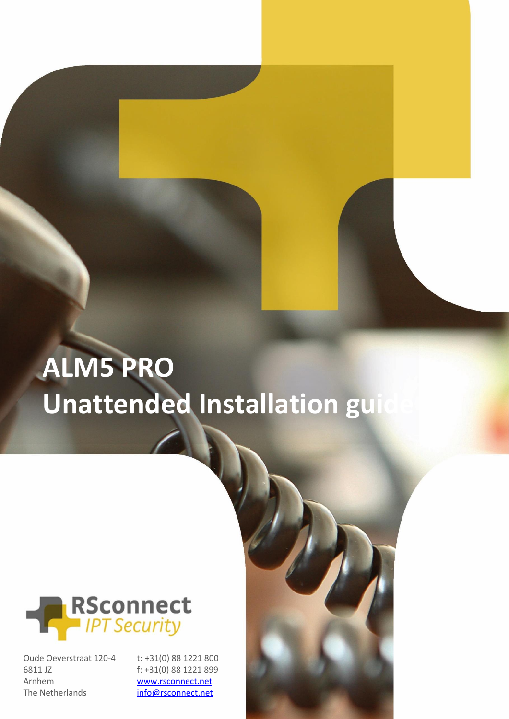# **ALM5 PRO Unattended Installation gui**



Oude Oeverstraat 120-4 6811 JZ Arnhem The Netherlands

t: +31(0) 88 1221 800 f: +31(0) 88 1221 899 [www.rsconnect.net](http://www.rsconnect.net/) [info@rsconnect.net](mailto:info@rsconnect.net)

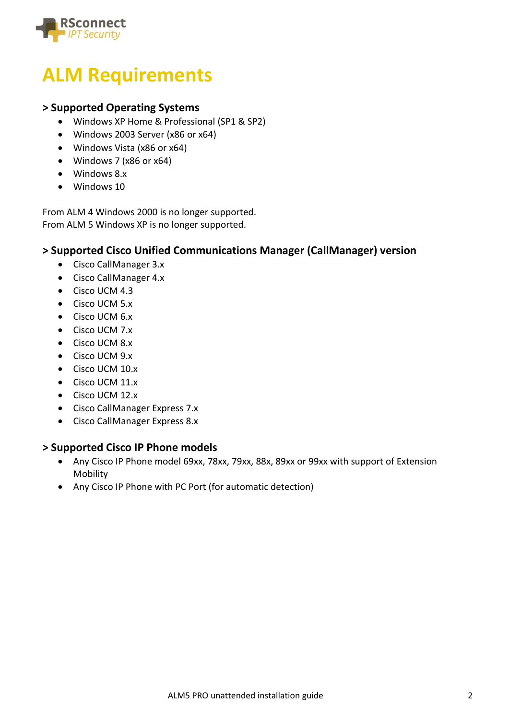

# **ALM Requirements**

#### **> Supported Operating Systems**

- Windows XP Home & Professional (SP1 & SP2)
- Windows 2003 Server (x86 or x64)
- Windows Vista (x86 or x64)
- Windows 7 (x86 or x64)
- Windows 8.x
- Windows 10

From ALM 4 Windows 2000 is no longer supported. From ALM 5 Windows XP is no longer supported.

#### **> Supported Cisco Unified Communications Manager (CallManager) version**

- Cisco CallManager 3.x
- Cisco CallManager 4.x
- Cisco UCM 4.3
- Cisco UCM 5.x
- Cisco UCM 6.x
- Cisco UCM 7.x
- Cisco UCM 8.x
- Cisco UCM 9.x
- Cisco UCM 10.x
- Cisco UCM 11.x
- Cisco UCM 12.x
- Cisco CallManager Express 7.x
- Cisco CallManager Express 8.x

#### **> Supported Cisco IP Phone models**

- Any Cisco IP Phone model 69xx, 78xx, 79xx, 88x, 89xx or 99xx with support of Extension Mobility
- Any Cisco IP Phone with PC Port (for automatic detection)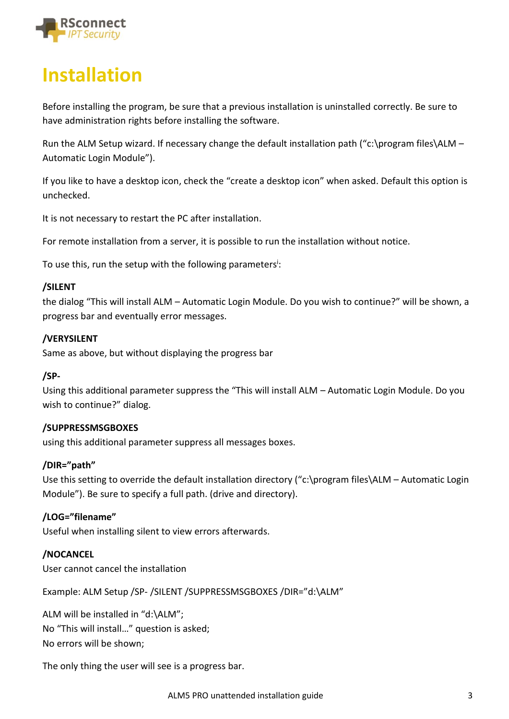

# **Installation**

Before installing the program, be sure that a previous installation is uninstalled correctly. Be sure to have administration rights before installing the software.

Run the ALM Setup wizard. If necessary change the default installation path ("c:\program files\ALM -Automatic Login Module").

If you like to have a desktop icon, check the "create a desktop icon" when asked. Default this option is unchecked.

It is not necessary to restart the PC after installation.

For remote installation from a server, it is possible to run the installation without notice.

To use this, run the setup with the following parameters<sup>i</sup>:

#### **/SILENT**

the dialog "This will install ALM – Automatic Login Module. Do you wish to continue?" will be shown, a progress bar and eventually error messages.

#### **/VERYSILENT**

Same as above, but without displaying the progress bar

#### **/SP-**

Using this additional parameter suppress the "This will install ALM – Automatic Login Module. Do you wish to continue?" dialog.

#### **/SUPPRESSMSGBOXES**

using this additional parameter suppress all messages boxes.

#### **/DIR="path"**

Use this setting to override the default installation directory ("c:\program files\ALM – Automatic Login Module"). Be sure to specify a full path. (drive and directory).

#### **/LOG="filename"**

Useful when installing silent to view errors afterwards.

#### **/NOCANCEL**

User cannot cancel the installation

Example: ALM Setup /SP- /SILENT /SUPPRESSMSGBOXES /DIR="d:\ALM"

ALM will be installed in "d:\ALM"; No "This will install…" question is asked; No errors will be shown;

The only thing the user will see is a progress bar.

ALM5 PRO unattended installation guide<br>
3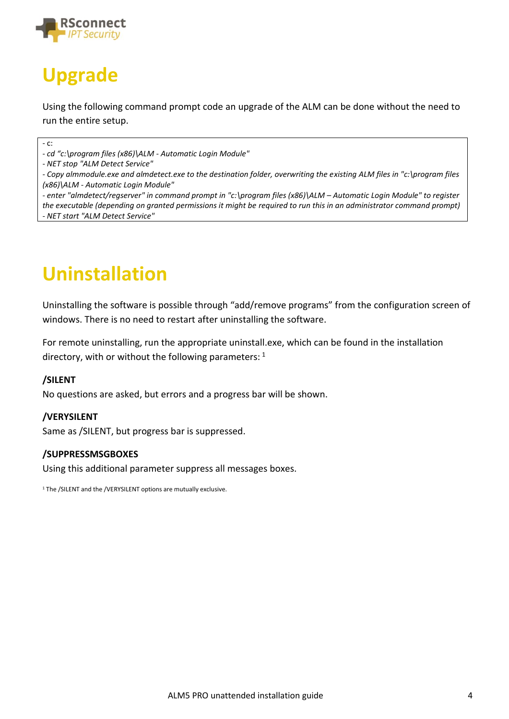

# **Upgrade**

Using the following command prompt code an upgrade of the ALM can be done without the need to run the entire setup.

- *cd "c:\program files (x86)\ALM - Automatic Login Module"*

*- NET stop "ALM Detect Service"*

*- Copy almmodule.exe and almdetect.exe to the destination folder, overwriting the existing ALM files in "c:\program files (x86)\ALM - Automatic Login Module"*

*- enter "almdetect/regserver" in command prompt in "c:\program files (x86)\ALM – Automatic Login Module" to register the executable (depending on granted permissions it might be required to run this in an administrator command prompt) - NET start "ALM Detect Service"*

# **Uninstallation**

Uninstalling the software is possible through "add/remove programs" from the configuration screen of windows. There is no need to restart after uninstalling the software.

For remote uninstalling, run the appropriate uninstall.exe, which can be found in the installation directory, with or without the following parameters:  $1$ 

#### **/SILENT**

No questions are asked, but errors and a progress bar will be shown.

#### **/VERYSILENT**

Same as /SILENT, but progress bar is suppressed.

#### **/SUPPRESSMSGBOXES**

Using this additional parameter suppress all messages boxes.

<sup>1</sup> The /SILENT and the /VERYSILENT options are mutually exclusive.

<sup>-</sup> c: